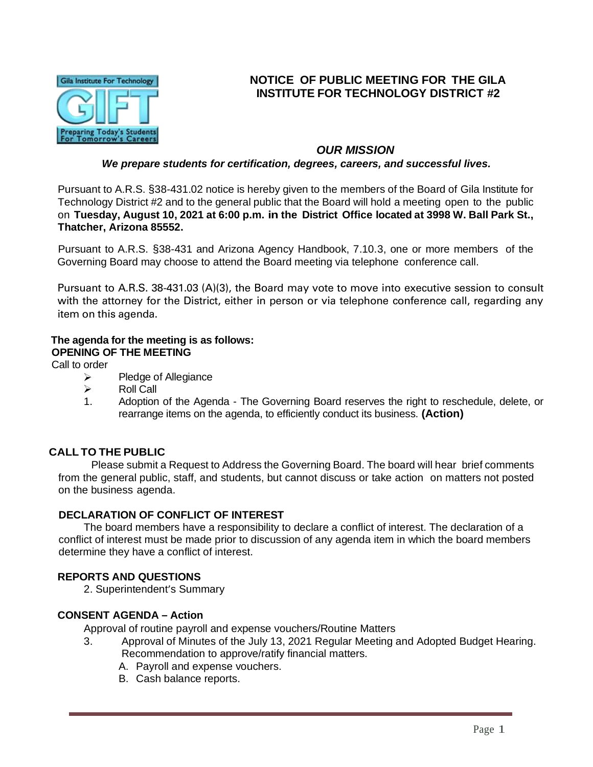

# **NOTICE OF PUBLIC MEETING FOR THE GILA INSTITUTE FOR TECHNOLOGY DISTRICT #2**

## *OUR MISSION*

#### *We prepare students for certification, degrees, careers, and successful lives.*

Pursuant to A.R.S. §38-431.02 notice is hereby given to the members of the Board of Gila Institute for Technology District #2 and to the general public that the Board will hold a meeting open to the public on **Tuesday, August 10, 2021 at 6:00 p.m. in the District Office located at 3998 W. Ball Park St., Thatcher, Arizona 85552.**

Pursuant to A.R.S. §38-431 and Arizona Agency Handbook, 7.10.3, one or more members of the Governing Board may choose to attend the Board meeting via telephone conference call.

Pursuant to A.R.S. 38-431.03 (A)(3), the Board may vote to move into executive session to consult with the attorney for the District, either in person or via telephone conference call, regarding any item on this agenda.

#### **The agenda for the meeting is as follows: OPENING OF THE MEETING**

Call to order

- $\triangleright$ Pledge of Allegiance
- $\blacktriangleright$ Roll Call
- 1. Adoption of the Agenda The Governing Board reserves the right to reschedule, delete, or rearrange items on the agenda, to efficiently conduct its business. **(Action)**

## **CALL TO THE PUBLIC**

Please submit a Request to Address the Governing Board. The board will hear brief comments from the general public, staff, and students, but cannot discuss or take action on matters not posted on the business agenda.

## **DECLARATION OF CONFLICT OF INTEREST**

The board members have a responsibility to declare a conflict of interest. The declaration of a conflict of interest must be made prior to discussion of any agenda item in which the board members determine they have a conflict of interest.

## **REPORTS AND QUESTIONS**

2. Superintendent's Summary

#### **CONSENT AGENDA – Action**

Approval of routine payroll and expense vouchers/Routine Matters

- 3. Approval of Minutes of the July 13, 2021 Regular Meeting and Adopted Budget Hearing. Recommendation to approve/ratify financial matters.
	- A. Payroll and expense vouchers.
	- B. Cash balance reports.